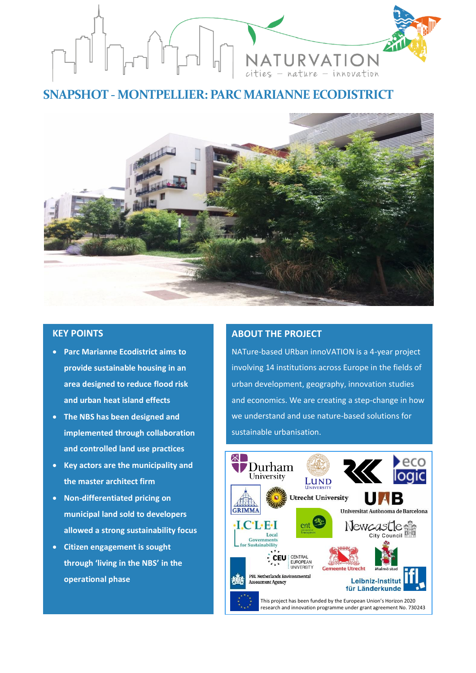

# **SNAPSHOT - MONTPELLIER: PARC MARIANNE ECODISTRICT**



# **KEY POINTS**

- **Parc Marianne Ecodistrict aims to provide sustainable housing in an area designed to reduce flood risk and urban heat island effects**
- **The NBS has been designed and implemented through collaboration and controlled land use practices**
- **Key actors are the municipality and the master architect firm**
- **Non-differentiated pricing on municipal land sold to developers allowed a strong sustainability focus**
- **Citizen engagement is sought through 'living in the NBS' in the operational phase**

## **ABOUT THE PROJECT**

NATure-based URban innoVATION is a 4-year project involving 14 institutions across Europe in the fields of urban development, geography, innovation studies and economics. We are creating a step-change in how we understand and use nature-based solutions for sustainable urbanisation.

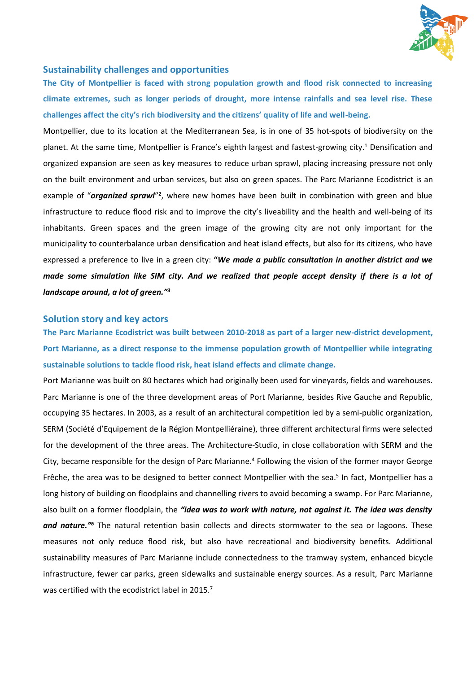

## **Sustainability challenges and opportunities**

**The City of Montpellier is faced with strong population growth and flood risk connected to increasing climate extremes, such as longer periods of drought, more intense rainfalls and sea level rise. These challenges affect the city's rich biodiversity and the citizens' quality of life and well-being.** 

Montpellier, due to its location at the Mediterranean Sea, is in one of 35 hot-spots of biodiversity on the planet. At the same time, Montpellier is France's eighth largest and fastest-growing city. <sup>1</sup> Densification and organized expansion are seen as key measures to reduce urban sprawl, placing increasing pressure not only on the built environment and urban services, but also on green spaces. The Parc Marianne Ecodistrict is an example of "organized sprawl"<sup>2</sup>, where new homes have been built in combination with green and blue infrastructure to reduce flood risk and to improve the city's liveability and the health and well-being of its inhabitants. Green spaces and the green image of the growing city are not only important for the municipality to counterbalance urban densification and heat island effects, but also for its citizens, who have expressed a preference to live in a green city: **"***We made a public consultation in another district and we made some simulation like SIM city. And we realized that people accept density if there is a lot of landscape around, a lot of green."<sup>3</sup>*

#### **Solution story and key actors**

**The Parc Marianne Ecodistrict was built between 2010-2018 as part of a larger new-district development, Port Marianne, as a direct response to the immense population growth of Montpellier while integrating sustainable solutions to tackle flood risk, heat island effects and climate change.**

Port Marianne was built on 80 hectares which had originally been used for vineyards, fields and warehouses. Parc Marianne is one of the three development areas of Port Marianne, besides Rive Gauche and Republic, occupying 35 hectares. In 2003, as a result of an architectural competition led by a semi-public organization, SERM (Société d'Equipement de la Région Montpelliéraine), three different architectural firms were selected for the development of the three areas. The Architecture-Studio, in close collaboration with SERM and the City, became responsible for the design of Parc Marianne.<sup>4</sup> Following the vision of the former mayor George Frêche, the area was to be designed to better connect Montpellier with the sea.<sup>5</sup> In fact, Montpellier has a long history of building on floodplains and channelling rivers to avoid becoming a swamp. For Parc Marianne, also built on a former floodplain, the *"idea was to work with nature, not against it. The idea was density*  and nature.<sup>"6</sup> The natural retention basin collects and directs stormwater to the sea or lagoons. These measures not only reduce flood risk, but also have recreational and biodiversity benefits. Additional sustainability measures of Parc Marianne include connectedness to the tramway system, enhanced bicycle infrastructure, fewer car parks, green sidewalks and sustainable energy sources. As a result, Parc Marianne was certified with the ecodistrict label in 2015.<sup>7</sup>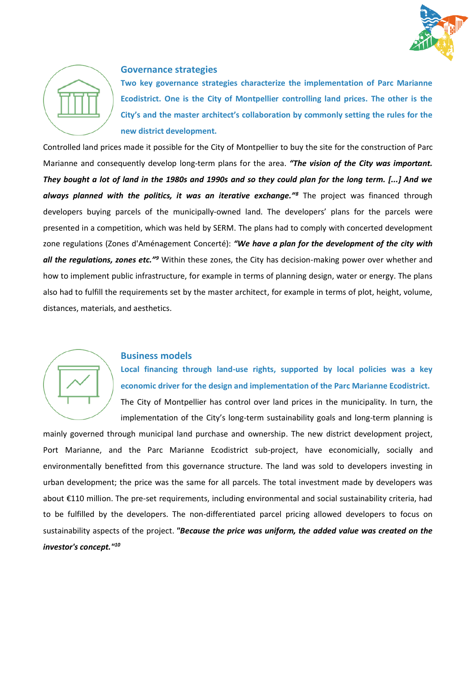



## **Governance strategies**

**Two key governance strategies characterize the implementation of Parc Marianne Ecodistrict. One is the City of Montpellier controlling land prices. The other is the City's and the master architect's collaboration by commonly setting the rules for the new district development.**

Controlled land prices made it possible for the City of Montpellier to buy the site for the construction of Parc Marianne and consequently develop long-term plans for the area. *"The vision of the City was important. They bought a lot of land in the 1980s and 1990s and so they could plan for the long term. [...] And we always planned with the politics, it was an iterative exchange."<sup>8</sup>* The project was financed through developers buying parcels of the municipally-owned land. The developers' plans for the parcels were presented in a competition, which was held by SERM. The plans had to comply with concerted development zone regulations (Zones d'Aménagement Concerté): *"We have a plan for the development of the city with all the regulations, zones etc."<sup>9</sup>* Within these zones, the City has decision-making power over whether and how to implement public infrastructure, for example in terms of planning design, water or energy. The plans also had to fulfill the requirements set by the master architect, for example in terms of plot, height, volume, distances, materials, and aesthetics.



#### **Business models**

**Local financing through land-use rights, supported by local policies was a key economic driver for the design and implementation of the Parc Marianne Ecodistrict.**  The City of Montpellier has control over land prices in the municipality. In turn, the

implementation of the City's long-term sustainability goals and long-term planning is mainly governed through municipal land purchase and ownership. The new district development project, Port Marianne, and the Parc Marianne Ecodistrict sub-project, have economicially, socially and environmentally benefitted from this governance structure. The land was sold to developers investing in urban development; the price was the same for all parcels. The total investment made by developers was about €110 million. The pre-set requirements, including environmental and social sustainability criteria, had to be fulfilled by the developers. The non-differentiated parcel pricing allowed developers to focus on sustainability aspects of the project. *"Because the price was uniform, the added value was created on the investor's concept."10*